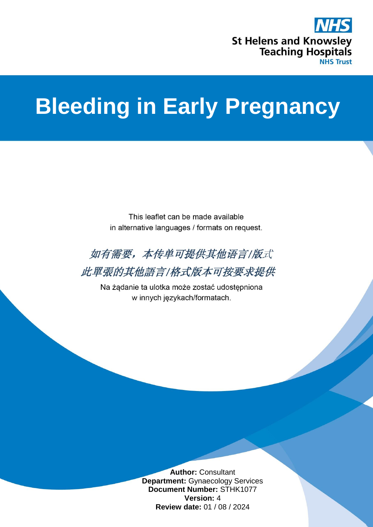

## **Bleeding in Early Pregnancy**

This leaflet can be made available in alternative languages / formats on request.



此單張的其他語言/格式版本可按要求提供

Na żądanie ta ulotka może zostać udostępniona w innych językach/formatach.

> **Author:** Consultant **Department:** Gynaecology Services **Document Number:** STHK1077 **Version:** 4 **Review date:** 01 / 08 / 2024